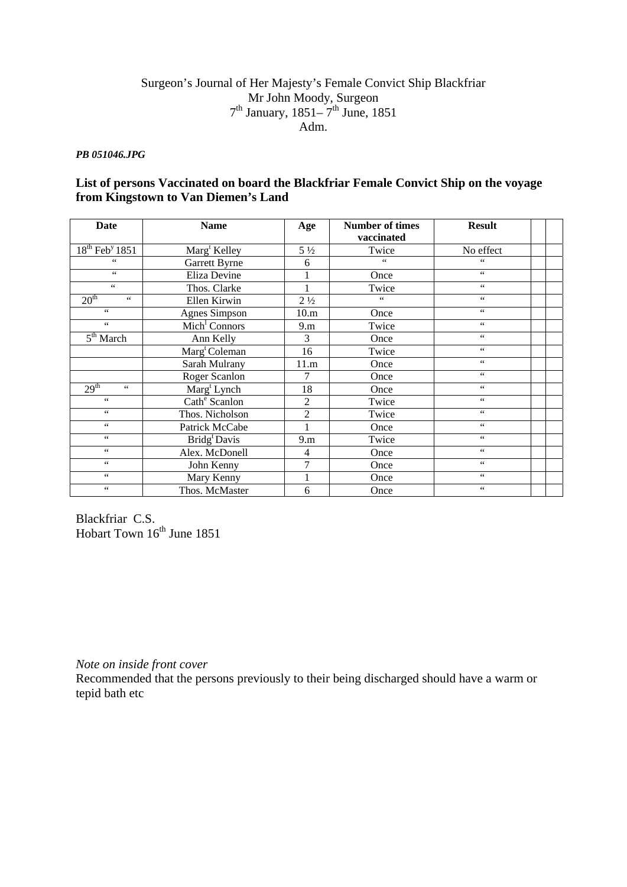## Surgeon's Journal of Her Majesty's Female Convict Ship Blackfriar Mr John Moody, Surgeon  $7<sup>th</sup>$  January, 1851– $7<sup>th</sup>$  June, 1851 Adm.

## *PB 051046.JPG*

## **List of persons Vaccinated on board the Blackfriar Female Convict Ship on the voyage from Kingstown to Van Diemen's Land**

| <b>Date</b>                                  | <b>Name</b>                        | Age            | <b>Number of times</b><br>vaccinated | <b>Result</b>        |  |
|----------------------------------------------|------------------------------------|----------------|--------------------------------------|----------------------|--|
| $18th$ Feb <sup>y</sup> 1851                 | Marg <sup>t</sup> Kelley           | $5\frac{1}{2}$ | Twice                                | No effect            |  |
| 66                                           | Garrett Byrne                      | 6              | 66                                   | 66                   |  |
| $\epsilon\,\epsilon$                         | Eliza Devine                       |                | Once                                 | $\zeta$ $\zeta$      |  |
| $\epsilon\,\epsilon$                         | Thos. Clarke                       | 1              | Twice                                | $\zeta$ $\zeta$      |  |
| 20 <sup>th</sup><br>$\epsilon$               | Ellen Kirwin                       | $2\frac{1}{2}$ | 66                                   | $\zeta$ $\zeta$      |  |
| $\zeta\,\zeta$                               | Agnes Simpson                      | 10.m           | Once                                 | $\zeta$ $\zeta$      |  |
| $\epsilon\,\epsilon$                         | $\overline{\text{Mich}}^1$ Connors | 9.m            | Twice                                | $\zeta$ $\zeta$      |  |
| $\overline{5^{th}}$ March                    | Ann Kelly                          | 3              | Once                                 | $\zeta$ $\zeta$      |  |
|                                              | Marg <sup>t</sup> Coleman          | 16             | Twice                                | $\zeta$ $\zeta$      |  |
|                                              | Sarah Mulrany                      | 11.m           | Once                                 | $\zeta$ $\zeta$      |  |
|                                              | Roger Scanlon                      | 7              | Once                                 | $\zeta$ $\zeta$      |  |
| $2\overline{9^{th}}$<br>$\epsilon\,\epsilon$ | Marg <sup>t</sup> Lynch            | 18             | Once                                 | $\zeta$ $\zeta$      |  |
| $\zeta\,\zeta$                               | Cath <sup>e</sup> Scanlon          | $\mathfrak{2}$ | Twice                                | $\zeta$ $\zeta$      |  |
| $\epsilon\,\epsilon$                         | Thos. Nicholson                    | $\overline{2}$ | Twice                                | $\zeta$ $\zeta$      |  |
| 66                                           | Patrick McCabe                     | 1              | Once                                 | $\zeta$ $\zeta$      |  |
| 66                                           | Bridg <sup>t</sup> Davis           | 9.m            | Twice                                | $\zeta$ $\zeta$      |  |
| $\zeta\,\zeta$                               | Alex. McDonell                     | 4              | Once                                 | $\zeta$ $\zeta$      |  |
| $\epsilon$ $\epsilon$                        | John Kenny                         | 7              | Once                                 | $\zeta$ $\zeta$      |  |
| 66                                           | Mary Kenny                         | $\mathbf{1}$   | Once                                 | $\zeta$ $\zeta$      |  |
| $\zeta\,\zeta$                               | Thos. McMaster                     | 6              | Once                                 | $\epsilon\,\epsilon$ |  |

Blackfriar C.S. Hobart Town  $16^{th}$  June 1851

*Note on inside front cover* 

Recommended that the persons previously to their being discharged should have a warm or tepid bath etc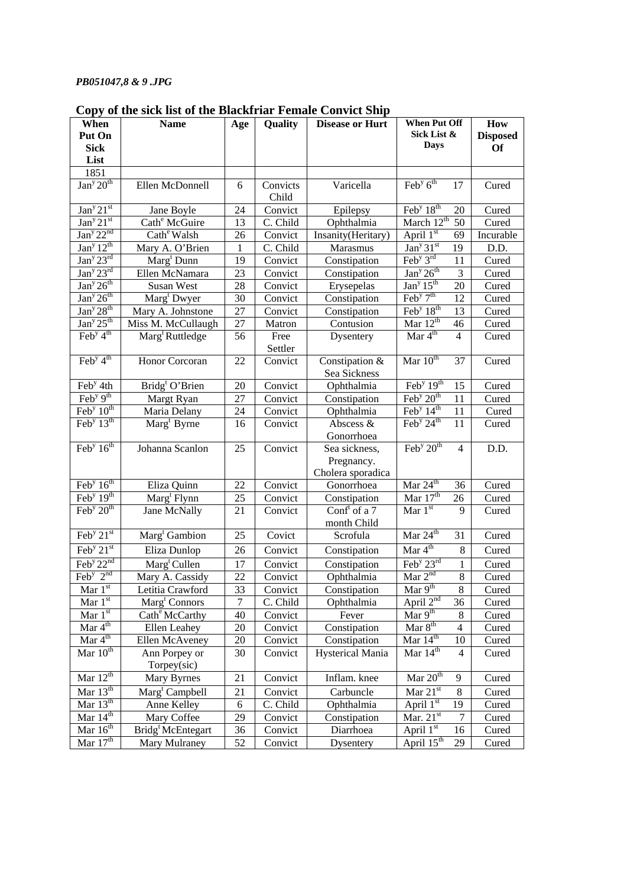## *PB051047,8 & 9 .JPG*

| When                                             | the bien mot of the<br><b>Name</b> | Age | Quality           | $\mathbf{v}$ on the band<br><b>Disease or Hurt</b> | <b>When Put Off</b>                                    | How             |
|--------------------------------------------------|------------------------------------|-----|-------------------|----------------------------------------------------|--------------------------------------------------------|-----------------|
| Put On                                           |                                    |     |                   |                                                    | Sick List &                                            | <b>Disposed</b> |
| <b>Sick</b>                                      |                                    |     |                   |                                                    | <b>Days</b>                                            | <b>Of</b>       |
| List                                             |                                    |     |                   |                                                    |                                                        |                 |
| 1851                                             |                                    |     |                   |                                                    |                                                        |                 |
| Jan <sup>y</sup> 20 <sup>th</sup>                | Ellen McDonnell                    | 6   | Convicts<br>Child | Varicella                                          | $\overline{\text{Feb}^{\text{y}} 6^{\text{th}}}$<br>17 | Cured           |
| Jan <sup>y</sup> 21 <sup>st</sup>                | Jane Boyle                         | 24  | Convict           | Epilepsy                                           | Feb <sup>y</sup> 18 <sup>th</sup><br>20                | Cured           |
| Jan <sup>y</sup> 21 <sup>st</sup>                | Cath <sup>e</sup> McGuire          | 13  | C. Child          | Ophthalmia                                         | March $12^{\text{th}}$<br>50                           | Cured           |
| Jan <sup>y</sup> 22 <sup>nd</sup>                | Cath <sup>e</sup> Walsh            | 26  | Convict           | Insanity(Heritary)                                 | April $1st$<br>69                                      | Incurable       |
| Jan <sup>y</sup> 12 <sup>th</sup>                | Mary A. O'Brien                    | 1   | C. Child          | Marasmus                                           | Jan <sup>y</sup> $31st$<br>19                          | D.D.            |
| Jan <sup>y</sup> 23 <sup>rd</sup>                | Marg <sup>t</sup> Dunn             | 19  | Convict           | Constipation                                       | $\text{Feb}^{\text{y}} 3^{\text{rd}}$<br>11            | Cured           |
| Jan <sup>y</sup> 23 <sup>rd</sup>                | Ellen McNamara                     | 23  | Convict           | Constipation                                       | Jan <sup>y</sup> 26 <sup>th</sup><br>$\mathfrak{Z}$    | Cured           |
| Jan <sup>y</sup> 26 <sup>th</sup>                | Susan West                         | 28  | Convict           | Erysepelas                                         | Jan <sup>y</sup> 15 <sup>th</sup><br>20                | Cured           |
| Jan <sup>y</sup> 26 <sup>th</sup>                | Marg <sup>t</sup> Dwyer            | 30  | Convict           | Constipation                                       | $\text{Feb}^{\text{y}}$ $7^{\text{th}}$<br>12          | Cured           |
| Jan <sup>y</sup> 28 <sup>th</sup>                | Mary A. Johnstone                  | 27  | Convict           | Constipation                                       | Feb <sup>y</sup> 18 <sup>th</sup><br>13                | Cured           |
| Jan <sup>y</sup> 25 <sup>th</sup>                | Miss M. McCullaugh                 | 27  | Matron            | Contusion                                          | Mar $12^{th}$<br>46                                    | Cured           |
| $\text{Feb}^{\overline{y}}4^{\text{th}}$         | Marg <sup>t</sup> Ruttledge        | 56  | Free<br>Settler   | Dysentery                                          | Mar 4 <sup>th</sup><br>$\overline{4}$                  | Cured           |
| $\overline{\text{Feb}^{\text{y}} 4^{\text{th}}}$ | Honor Corcoran                     | 22  | Convict           | Constipation &<br>Sea Sickness                     | Mar 10 <sup>th</sup><br>37                             | Cured           |
| Feb <sup>y</sup> 4th                             | Bridg <sup>t</sup> O'Brien         | 20  | Convict           | Ophthalmia                                         | Feb <sup>y</sup> $19th$<br>15                          | Cured           |
| Feb <sup>y <math>9th</math></sup>                | Margt Ryan                         | 27  | Convict           | Constipation                                       | Feb <sup>y</sup> 20 <sup>th</sup><br>11                | Cured           |
| $\text{Feb}^{\text{y}} 10^{\text{th}}$           | Maria Delany                       | 24  | Convict           | Ophthalmia                                         | Feb <sup>y</sup> $14th$<br>11                          | Cured           |
| Feb <sup>y</sup> $13th$                          | Marg <sup>t</sup> Byrne            | 16  | Convict           | Abscess &                                          | Feb <sup>y</sup> $24^{\text{th}}$<br>11                | Cured           |
|                                                  |                                    |     |                   | Gonorrhoea                                         |                                                        |                 |
| Feb <sup>y</sup> $16th$                          | Johanna Scanlon                    | 25  | Convict           | Sea sickness,                                      | Feb <sup>y</sup> $20th$<br>$\overline{4}$              | D.D.            |
|                                                  |                                    |     |                   | Pregnancy.                                         |                                                        |                 |
|                                                  |                                    |     |                   | Cholera sporadica                                  |                                                        |                 |
| $\overline{\text{Feb}}^y 16^{\text{th}}$         | Eliza Quinn                        | 22  | Convict           | Gonorrhoea                                         | Mar $24^{\text{th}}$<br>36                             | Cured           |
| Feb <sup>y</sup> $19th$                          | Marg <sup>t</sup> Flynn            | 25  | Convict           | Constipation                                       | Mar $17th$<br>26                                       | Cured           |
| Feb <sup>y</sup> $20th$                          | Jane McNally                       | 21  | Convict           | Conf <sup>t</sup> of a $7$                         | Mar $1^{\overline{st}}$<br>9                           | Cured           |
|                                                  |                                    |     |                   | month Child                                        |                                                        |                 |
| Feb $\sqrt{21}$ st                               | Marg <sup>t</sup> Gambion          | 25  | Covict            | Scrofula                                           | Mar 24 <sup>th</sup><br>31                             | Cured           |
| Feb $\sqrt{21}$ st                               | Eliza Dunlop                       | 26  | Convict           | Constipation                                       | Mar $4^{\text{th}}$<br>8                               | Cured           |
| Feb <sup>y</sup> $22^{nd}$                       | $\text{Marg}^t$ Cullen             | 17  | Convict           | Constipation                                       | Feb <sup>y</sup> $23rd$<br>1                           | Cured           |
| $\overline{\text{Feb}}^y$ $2^{\text{nd}}$        | Mary A. Cassidy                    | 22  | Convict           | Ophthalmia                                         | Mar $2nd$<br>$\,8\,$                                   | Cured           |
| Mar $1st$                                        | Letitia Crawford                   | 33  | Convict           | Constipation                                       | Mar $9th$<br>8                                         | Cured           |
| Mar $1^{\overline{st}}$                          | Marg <sup>t</sup> Connors          | 7   | C. Child          | Ophthalmia                                         | April $2^{nd}$<br>36                                   | Cured           |
| Mar $1st$                                        | Cath <sup>e</sup> McCarthy         | 40  | Convict           | Fever                                              | $\overline{\text{Mar } 9^{\text{th}}}$<br>8            | Cured           |
| Mar $4^{th}$                                     | Ellen Leahey                       | 20  | Convict           | Constipation                                       | Mar $8th$<br>$\overline{4}$                            | Cured           |
| $\overline{\text{Mar } 4^{\text{th}}}$           | Ellen McAveney                     | 20  | Convict           | Constipation                                       | Mar $14th$<br>10                                       | Cured           |
| Mar $10^{th}$                                    | Ann Porpey or                      | 30  | Convict           | Hysterical Mania                                   | Mar $14th$<br>$\overline{4}$                           | Cured           |
|                                                  | Torpey(sic)                        |     |                   |                                                    |                                                        |                 |
| Mar $12^{th}$                                    | Mary Byrnes                        | 21  | Convict           | Inflam. knee                                       | Mar $20th$<br>9                                        | Cured           |
| Mar $13^{\text{th}}$                             | Marg <sup>t</sup> Campbell         | 21  | Convict           | Carbuncle                                          | Mar $21^{\overline{st}}$<br>$\,$ 8 $\,$                | Cured           |
| Mar $13th$                                       | Anne Kelley                        | 6   | C. Child          | Ophthalmia                                         | April $1^{st}$<br>19                                   | Cured           |
| Mar $14^{\text{th}}$                             | Mary Coffee                        | 29  | Convict           | Constipation                                       | Mar. $21^{st}$<br>7                                    | Cured           |
| Mar $16^{th}$                                    | Bridg <sup>t</sup> McEntegart      | 36  | Convict           | Diarrhoea                                          | April $1^{\overline{st}}$<br>16                        | Cured           |
| Mar $17th$                                       | Mary Mulraney                      | 52  | Convict           | Dysentery                                          | April $15^{\text{th}}$<br>29                           | Cured           |

**Copy of the sick list of the Blackfriar Female Convict Ship**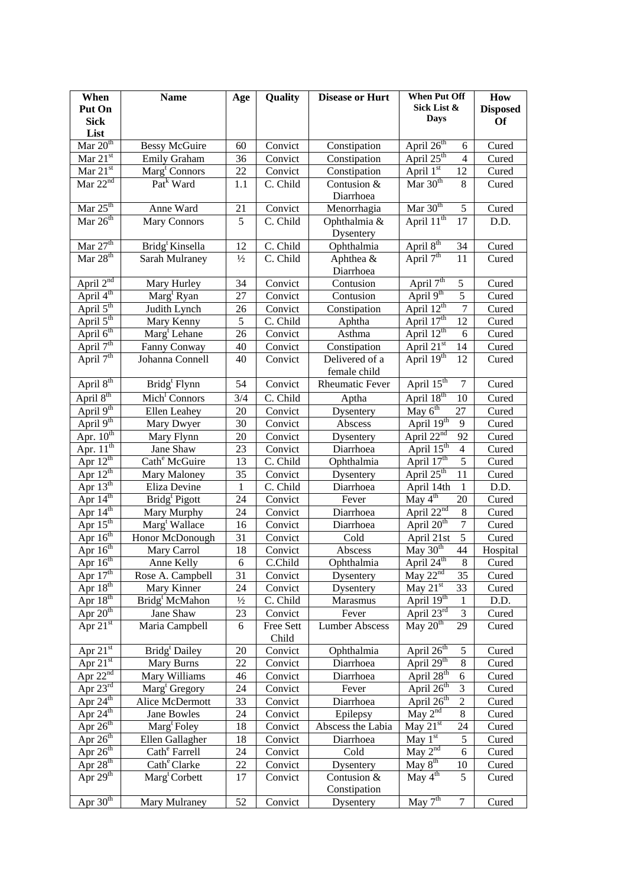| When                                         | <b>Name</b>                              | Age           | Quality            | <b>Disease or Hurt</b> | <b>When Put Off</b>                            | How             |
|----------------------------------------------|------------------------------------------|---------------|--------------------|------------------------|------------------------------------------------|-----------------|
| Put On                                       |                                          |               |                    |                        | Sick List &                                    | <b>Disposed</b> |
| <b>Sick</b>                                  |                                          |               |                    |                        | Days                                           | <b>Of</b>       |
| List                                         |                                          |               |                    |                        |                                                |                 |
| Mar 20 <sup>th</sup>                         | <b>Bessy McGuire</b>                     | 60            | Convict            | Constipation           | April 26 <sup>th</sup><br>6                    | Cured           |
| Mar $21^{st}$                                | Emily Graham                             | 36            | Convict            | Constipation           | April $25th$<br>$\overline{4}$                 | Cured           |
| Mar $21^{st}$                                | Marg <sup>t</sup> Connors                | 22            | Convict            | Constipation           | April 1st<br>12                                | Cured           |
| Mar $22nd$                                   | Pat <sup>k</sup> Ward                    | 1.1           | C. Child           | Contusion &            | Mar $30th$<br>8                                | Cured           |
|                                              |                                          |               |                    | Diarrhoea              |                                                |                 |
| Mar $25^{\text{th}}$                         | Anne Ward                                | 21            | Convict            | Menorrhagia            | Mar $30th$<br>$\sqrt{5}$                       | Cured           |
| $\overline{\text{Mar } 26^{\text{th}}}$      | Mary Connors                             | 5             | C. Child           | Ophthalmia &           | April 11 <sup>th</sup><br>17                   | D.D.            |
|                                              |                                          |               |                    | Dysentery              |                                                |                 |
| Mar $27th$                                   | Bridg <sup>t</sup> Kinsella              | 12            | C. Child           | Ophthalmia             | April 8 <sup>th</sup><br>34                    | Cured           |
| $\overline{Mar~28^{th}}$                     | Sarah Mulraney                           | $\frac{1}{2}$ | C. Child           | Aphthea &              | April 7 <sup>th</sup><br>11                    | Cured           |
|                                              |                                          |               |                    | Diarrhoea              |                                                |                 |
| April $2^{nd}$                               | Mary Hurley                              | 34            | Convict            | Contusion              | April 7 <sup>th</sup><br>5                     | Cured           |
| April 4 <sup>th</sup>                        | Marg <sup>t</sup> Ryan                   | 27            | Convict            | Contusion              | April 9 <sup>th</sup><br>5                     | Cured           |
| April $5^{\text{th}}$                        | Judith Lynch                             | 26            | Convict            | Constipation           | April 12 <sup>th</sup><br>7                    | Cured           |
| April $5^{\text{th}}$                        | Mary Kenny                               | 5             | C. Child           | Aphtha                 | April 17 <sup>th</sup><br>12                   | Cured           |
| April $6^{th}$                               | Marg <sup>t</sup> Lehane                 | 26            | Convict            | Asthma                 | April $12^{th}$<br>6                           | Cured           |
| April $7th$                                  | Fanny Conway                             | 40            | Convict            | Constipation           | April $21st$<br>14                             | Cured           |
| April 7 <sup>th</sup>                        | Johanna Connell                          | 40            | Convict            | Delivered of a         | April 19th<br>12                               | Cured           |
|                                              |                                          |               |                    | female child           |                                                |                 |
| April 8th                                    | Bridg <sup>t</sup> Flynn                 | 54            | Convict            | <b>Rheumatic Fever</b> | April $15^{\text{th}}$<br>$\overline{7}$       | Cured           |
| April 8 <sup>th</sup>                        | Mich <sup>1</sup> Connors                | 3/4           | C. Child           | Aptha                  | April 18 <sup>th</sup><br>10                   | Cured           |
| April 9 <sup>th</sup>                        | Ellen Leahey                             | 20            | Convict            | Dysentery              | May $6th$<br>27                                | Cured           |
| April 9 <sup>th</sup>                        | Mary Dwyer                               | 30            | Convict            | Abscess                | April 19th<br>$\mathbf{9}$                     | Cured           |
| Apr. $10^{th}$                               | Mary Flynn                               | 20            | Convict            | Dysentery              | April $22^{nd}$<br>92                          | Cured           |
| Apr. $11^{\text{th}}$                        | Jane Shaw                                | 23            | Convict            | Diarrhoea              | April 15 <sup>th</sup><br>$\overline{4}$       | Cured           |
| Apr $12^{th}$                                | Cath <sup>e</sup> McGuire                | 13            | C. Child           | Ophthalmia             | $\overline{5}$<br>April 17 <sup>th</sup>       | Cured           |
| Apr $12^{th}$                                | Mary Maloney                             | 35            | Convict            | Dysentery              | April $25th$<br>11                             | Cured           |
| Apr $13^{\text{th}}$<br>Apr $14^{\text{th}}$ | Eliza Devine                             | $\mathbf{1}$  | C. Child           | Diarrhoea              | April 14th<br>$\mathbf{1}$<br>May $4th$        | D.D.            |
| Apr $14^{th}$                                | Bridg <sup>t</sup> Pigott                | 24            | Convict            | Fever                  | 20<br>April $22^{nd}$<br>$\,8\,$               | Cured           |
| Apr $15th$                                   | Mary Murphy<br>Marg <sup>t</sup> Wallace | 24<br>16      | Convict<br>Convict | Diarrhoea<br>Diarrhoea | $\overline{7}$<br>April 20 <sup>th</sup>       | Cured<br>Cured  |
| Apr $16th$                                   | Honor McDonough                          | 31            | Convict            | Cold                   | $\overline{5}$<br>April 21st                   | Cured           |
| Apr $16^{th}$                                | Mary Carrol                              | 18            | Convict            | Abscess                | May $30th$<br>44                               | Hospital        |
| Apr $16^{th}$                                | <b>Anne Kelly</b>                        | 6             | C.Child            | Ophthalmia             | April 24 <sup>th</sup><br>$\,8$                | Cured           |
| Apr $17th$                                   | Rose A. Campbell                         | 31            | Convict            | Dysentery              | May $22nd$<br>35                               | Cured           |
| Apr $18th$                                   | Mary Kinner                              | 24            | Convict            | Dysentery              | May $21st$<br>33                               | Cured           |
| Apr $18th$                                   | Bridg <sup>t</sup> McMahon               | $\frac{1}{2}$ | C. Child           | Marasmus               | April 19th<br>$\mathbf{1}$                     | D.D.            |
| Apr $20th$                                   | Jane Shaw                                | 23            | Convict            | Fever                  | April $23^{rd}$<br>$\ensuremath{\mathfrak{Z}}$ | Cured           |
| Apr $21st$                                   | Maria Campbell                           | 6             | Free Sett          | <b>Lumber Abscess</b>  | May $20th$<br>29                               | Cured           |
|                                              |                                          |               | Child              |                        |                                                |                 |
| Apr $21st$                                   | Bridg <sup>t</sup> Dailey                | 20            | Convict            | Ophthalmia             | April 26 <sup>th</sup><br>$\mathfrak s$        | Cured           |
| Apr $\overline{21^{st}}$                     | Mary Burns                               | 22            | Convict            | Diarrhoea              | April 29 <sup>th</sup><br>$\,8\,$              | Cured           |
| Apr $22nd$                                   | Mary Williams                            | 46            | Convict            | Diarrhoea              | April 28 <sup>th</sup><br>6                    | Cured           |
| Apr $23^{\text{rd}}$                         | Marg <sup>t</sup> Gregory                | 24            | Convict            | Fever                  | April 26 <sup>th</sup><br>$\sqrt{3}$           | Cured           |
| Apr $24^{\text{th}}$                         | Alice McDermott                          | 33            | Convict            | Diarrhoea              | April 26 <sup>th</sup><br>$\boldsymbol{2}$     | Cured           |
| Apr $24^{th}$                                | Jane Bowles                              | 24            | Convict            | Epilepsy               | May $2nd$<br>8                                 | Cured           |
| Apr $26^{th}$                                | Marg <sup>t</sup> Foley                  | 18            | Convict            | Abscess the Labia      | May $21^{\overline{st}}$<br>24                 | Cured           |
| Apr $26^{th}$                                | Ellen Gallagher                          | 18            | Convict            | Diarrhoea              | May $1st$<br>5                                 | Cured           |
| Apr $26^{th}$                                | Cath <sup>e</sup> Farrell                | 24            | Convict            | Cold                   | May $2^{nd}$<br>6                              | Cured           |
| Apr $28th$                                   | Cath <sup>e</sup> Clarke                 | 22            | Convict            | Dysentery              | May 8 <sup>th</sup><br>10                      | Cured           |
| Apr $29^{th}$                                | Marg <sup>t</sup> Corbett                | 17            | Convict            | Contusion &            | May $4^{th}$<br>5                              | Cured           |
|                                              |                                          |               |                    | Constipation           |                                                |                 |
| Apr $30th$                                   | Mary Mulraney                            | 52            | Convict            | Dysentery              | May 7 <sup>th</sup><br>$\boldsymbol{7}$        | Cured           |